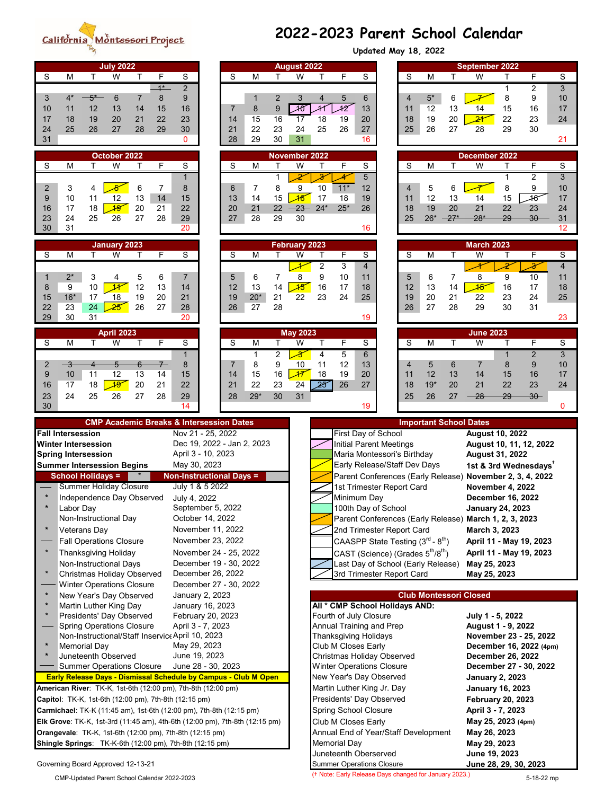## California Montessori Project

## **2022-2023 Parent School Calendar Updated May 18, 2022**

| <b>July 2022</b><br><b>August 2022</b>                                                                               |                                     |                           |                                                                |                                                                               |  | <b>September 2022</b>   |            |                   |                                        |                  |                                   |                      |  |
|----------------------------------------------------------------------------------------------------------------------|-------------------------------------|---------------------------|----------------------------------------------------------------|-------------------------------------------------------------------------------|--|-------------------------|------------|-------------------|----------------------------------------|------------------|-----------------------------------|----------------------|--|
| S<br>S<br>M<br>W<br>т<br>F<br>т                                                                                      | S<br>M<br>т                         | W                         | F<br>T.                                                        | S                                                                             |  | S                       | M          | T.                | W                                      | T                | F                                 | S                    |  |
| $1*$<br>$\overline{2}$                                                                                               |                                     |                           |                                                                |                                                                               |  |                         |            |                   |                                        | 1                | 2                                 | 3                    |  |
| 8<br>9<br>3<br>$4^*$<br>$-5*$<br>6<br>$\overline{7}$<br>12<br>15<br>16<br>13<br>11<br>14<br>10                       | $\overline{2}$<br>9<br>8<br>7       | 3<br>${\mathcal{A}}$      | 5<br>$\overline{4}$<br>12<br>11                                | 6<br>13                                                                       |  | $\overline{4}$<br>11    | $5*$<br>12 | 6<br>13           | 14                                     | 8<br>15          | 9<br>16                           | 10<br>17             |  |
| 22<br>23<br>18<br>20<br>21<br>19<br>17                                                                               | 16<br>14<br>15                      | 17                        | 18<br>19                                                       | 20                                                                            |  | 18                      | 19         | 20                | $\overline{24}$                        | 22               | 23                                | 24                   |  |
| 25<br>27<br>29<br>24<br>26<br>28<br>30                                                                               | 23<br>21<br>22                      | 24                        | 25<br>26                                                       | 27                                                                            |  | 25                      | 26         | 27                | 28                                     | 29               | 30                                |                      |  |
| 31<br>0                                                                                                              | 28<br>29<br>30                      | 31                        |                                                                | 16                                                                            |  |                         |            |                   |                                        |                  |                                   | 21                   |  |
| October 2022                                                                                                         |                                     | November 2022             |                                                                |                                                                               |  |                         |            |                   | December 2022                          |                  |                                   |                      |  |
| S<br>S<br>M<br>W<br>F<br>т                                                                                           | S<br>M                              | W                         | F<br>т                                                         | S                                                                             |  | S                       | M          | т                 | W                                      | т                | F                                 | S                    |  |
| 1<br>6<br>7<br>2<br>3<br>8<br>4                                                                                      | 1<br>8<br>6<br>7                    | 9                         | $\overline{\mathscr{X}}$<br>10<br>$11*$                        | 5<br>12                                                                       |  | $\overline{\mathbf{4}}$ | 5          | 6                 |                                        | $\mathbf 1$<br>8 | $\overline{2}$<br>9               | $\overline{3}$<br>10 |  |
| 9<br>10<br>12<br>14<br>11<br>13<br>15                                                                                | 15<br>13<br>14                      | $\overline{46}$           | 17<br>18                                                       | 19                                                                            |  | 11                      | 12         | 13                | 14                                     | 15               | 48                                | 17                   |  |
| 19<br>18<br>20<br>21<br>22<br>16<br>17                                                                               | 20<br>21<br>22                      | $23 -$                    | $25*$<br>$24*$                                                 | 26                                                                            |  | 18                      | 19         | 20                | 21                                     | 22               | 23                                | 24                   |  |
| 28<br>23<br>24<br>25<br>26<br>27<br>29<br>30<br>31<br>20                                                             | 27<br>28<br>29                      | 30                        |                                                                | 16                                                                            |  | 25                      | $26*$      | $27*$             | $28*$                                  | 29               | $30 -$                            | 31<br>12             |  |
|                                                                                                                      |                                     |                           |                                                                |                                                                               |  |                         |            |                   |                                        |                  |                                   |                      |  |
| January 2023<br>S<br>F<br>S<br>M<br>W<br>Τ<br>т                                                                      | S<br>M<br>т                         | <b>February 2023</b><br>W | F<br>т                                                         | S                                                                             |  | S                       | M          | т                 | <b>March 2023</b><br>W                 | т                | F                                 | S                    |  |
|                                                                                                                      |                                     | ◢                         | $\overline{2}$<br>3                                            | $\overline{4}$                                                                |  |                         |            |                   |                                        |                  |                                   | $\overline{4}$       |  |
| $2^*$<br>$\,6$<br>3<br>5<br>$\overline{7}$<br>4<br>1                                                                 | 5<br>7<br>6                         | 8                         | 9<br>10                                                        | 11                                                                            |  | 5                       | 6          | 7                 | 8                                      | 9                | 10                                | 11                   |  |
| 9<br>10<br>$\overline{\mathcal{H}}$<br>12<br>13<br>8<br>14                                                           | 12<br>13<br>14                      | $\overline{45}$           | 16<br>17                                                       | 18                                                                            |  | 12                      | 13         | 14                | $\overline{45}$                        | 16               | 17                                | 18                   |  |
| $16*$<br>19<br>20<br>21<br>17<br>18<br>15<br>24<br>$\overline{25}$<br>26<br>27<br>22<br>23<br>28                     | 19<br>$20*$<br>21<br>26<br>28<br>27 | 22                        | 23<br>24                                                       | 25                                                                            |  | 19<br>26                | 20<br>27   | 21<br>28          | 22<br>29                               | 23<br>30         | 24<br>31                          | 25                   |  |
| 29<br>30<br>31<br>20                                                                                                 |                                     |                           |                                                                | 19                                                                            |  |                         |            |                   |                                        |                  |                                   | 23                   |  |
| <b>April 2023</b>                                                                                                    |                                     | <b>May 2023</b>           |                                                                |                                                                               |  |                         |            |                   | <b>June 2023</b>                       |                  |                                   |                      |  |
| $\overline{\mathsf{F}}$<br>S<br>$\overline{W}$<br>M<br>T<br>S<br>т                                                   | S<br>т<br>M                         | $\overline{\mathsf{W}}$   | F<br>T                                                         | S                                                                             |  | S                       | M          | $\overline{\top}$ | $\overline{W}$                         | Τ                | $\overline{F}$                    | $\mathbf S$          |  |
| 1                                                                                                                    | 2<br>1                              | ぞ                         | 4<br>5                                                         | 6                                                                             |  |                         |            |                   |                                        | 1                | $\overline{2}$                    | $\overline{3}$       |  |
| $\overline{\mathbf{3}}$<br>$7-$<br>8<br>2<br>5<br>6<br>10<br>12<br>15<br>9<br>11<br>13<br>14                         | 9<br>7<br>8<br>16<br>14<br>15       | 10<br>47                  | 12<br>11<br>18<br>19                                           | 13<br>20                                                                      |  | 4<br>11                 | 5<br>12    | 6<br>13           | $\overline{7}$<br>14                   | 8<br>15          | 9<br>16                           | 10<br>17             |  |
| 19<br>22<br>17<br>18<br>20<br>21<br>16                                                                               | 21<br>22<br>23                      | 24                        | 26<br>25                                                       | 27                                                                            |  | 18                      | $19*$      | 20                | 21                                     | 22               | 23                                | 24                   |  |
| 23<br>24<br>25<br>26<br>28<br>29<br>27                                                                               | $29*$<br>30<br>28                   | 31                        |                                                                |                                                                               |  | 25                      | 26         | 27                | $\overline{28}$                        | 29               | $30 -$                            |                      |  |
| 30<br>14                                                                                                             |                                     |                           |                                                                | 19                                                                            |  |                         |            |                   |                                        |                  |                                   | 0                    |  |
|                                                                                                                      |                                     |                           | <b>Important School Dates</b>                                  |                                                                               |  |                         |            |                   |                                        |                  |                                   |                      |  |
| <b>CMP Academic Breaks &amp; Intersession Dates</b>                                                                  |                                     |                           |                                                                |                                                                               |  |                         |            |                   |                                        |                  |                                   |                      |  |
| Nov 21 - 25, 2022<br><b>Fall Intersession</b>                                                                        |                                     |                           |                                                                | First Day of School                                                           |  |                         |            |                   | <b>August 10, 2022</b>                 |                  |                                   |                      |  |
| Dec 19, 2022 - Jan 2, 2023<br><b>Winter Intersession</b>                                                             |                                     |                           |                                                                | <b>Initial Parent Meetings</b>                                                |  |                         |            |                   |                                        |                  | August 10, 11, 12, 2022           |                      |  |
| April 3 - 10, 2023<br><b>Spring Intersession</b><br>May 30, 2023<br><b>Summer Intersession Begins</b>                |                                     |                           |                                                                | Maria Montessori's Birthday<br>Early Release/Staff Dev Days                   |  |                         |            |                   | <b>August 31, 2022</b>                 |                  | 1st & 3rd Wednesdays <sup>+</sup> |                      |  |
| <b>School Holidays =</b><br><b>Non-Instructional Days =</b>                                                          |                                     |                           |                                                                | Parent Conferences (Early Release)                                            |  |                         |            |                   | November 2, 3, 4, 2022                 |                  |                                   |                      |  |
| <b>Summer Holiday Closure</b><br>July 1 & 5 2022                                                                     |                                     |                           |                                                                | 1st Trimester Report Card                                                     |  |                         |            |                   | November 4, 2022                       |                  |                                   |                      |  |
| $\star$<br>Independence Day Observed<br>July 4, 2022<br>$\star$                                                      |                                     |                           |                                                                | Minimum Day                                                                   |  |                         |            |                   | <b>December 16, 2022</b>               |                  |                                   |                      |  |
| September 5, 2022<br>Labor Day<br>Non-Instructional Day<br>October 14, 2022                                          |                                     |                           |                                                                | 100th Day of School<br>Parent Conferences (Early Release) March 1, 2, 3, 2023 |  |                         |            |                   | <b>January 24, 2023</b>                |                  |                                   |                      |  |
| November 11, 2022<br>$\ast$<br><b>Veterans Day</b>                                                                   |                                     |                           |                                                                | 2nd Trimester Report Card                                                     |  |                         |            |                   | March 3, 2023                          |                  |                                   |                      |  |
| November 23, 2022<br><b>Fall Operations Closure</b>                                                                  |                                     |                           |                                                                | CAASPP State Testing $(3^{\text{rd}} - 8^{\text{th}})$                        |  |                         |            |                   |                                        |                  | April 11 - May 19, 2023           |                      |  |
| <b>Thanksgiving Holiday</b><br>November 24 - 25, 2022                                                                |                                     |                           |                                                                | CAST (Science) (Grades 5 <sup>th</sup> /8 <sup>th</sup> )                     |  |                         |            |                   |                                        |                  | April 11 - May 19, 2023           |                      |  |
| December 19 - 30, 2022<br><b>Non-Instructional Days</b><br>$\star$                                                   |                                     |                           |                                                                | Last Day of School (Early Release)                                            |  |                         |            |                   | May 25, 2023                           |                  |                                   |                      |  |
| December 26, 2022<br>Christmas Holiday Observed<br>December 27 - 30, 2022<br><b>Winter Operations Closure</b>        |                                     |                           |                                                                | 3rd Trimester Report Card                                                     |  |                         |            |                   | May 25, 2023                           |                  |                                   |                      |  |
| January 2, 2023<br>$\ast$<br>New Year's Day Observed                                                                 |                                     |                           |                                                                |                                                                               |  |                         |            |                   | <b>Club Montessori Closed</b>          |                  |                                   |                      |  |
| January 16, 2023<br>$\ast$<br>Martin Luther King Day                                                                 |                                     |                           | All * CMP School Holidays AND:                                 |                                                                               |  |                         |            |                   |                                        |                  |                                   |                      |  |
| Presidents' Day Observed<br>February 20, 2023<br><b>Spring Operations Closure</b><br>April 3 - 7, 2023               |                                     |                           | Fourth of July Closure<br>Annual Training and Prep             |                                                                               |  |                         |            |                   | July 1 - 5, 2022<br>August 1 - 9, 2022 |                  |                                   |                      |  |
| Non-Instructional/Staff Inservice April 10, 2023                                                                     |                                     |                           | <b>Thanksgiving Holidays</b>                                   |                                                                               |  |                         |            |                   |                                        |                  | November 23 - 25, 2022            |                      |  |
| $\star$<br>May 29, 2023<br><b>Memorial Day</b><br>$\star$                                                            |                                     |                           | Club M Closes Early                                            |                                                                               |  |                         |            |                   |                                        |                  | December 16, 2022 (4pm)           |                      |  |
| June 19, 2023<br>Juneteenth Observed<br>June 28 - 30, 2023<br><b>Summer Operations Closure</b>                       |                                     |                           | Christmas Holiday Observed<br><b>Winter Operations Closure</b> |                                                                               |  |                         |            |                   | <b>December 26, 2022</b>               |                  | December 27 - 30, 2022            |                      |  |
| Early Release Days - Dismissal Schedule by Campus - Club M Open                                                      |                                     |                           | New Year's Day Observed                                        |                                                                               |  |                         |            |                   | <b>January 2, 2023</b>                 |                  |                                   |                      |  |
| American River: TK-K, 1st-6th (12:00 pm), 7th-8th (12:00 pm)                                                         |                                     |                           | Martin Luther King Jr. Day                                     |                                                                               |  |                         |            |                   | <b>January 16, 2023</b>                |                  |                                   |                      |  |
| Capitol: TK-K, 1st-6th (12:00 pm), 7th-8th (12:15 pm)                                                                |                                     |                           | Presidents' Day Observed                                       |                                                                               |  |                         |            |                   | <b>February 20, 2023</b>               |                  |                                   |                      |  |
| Carmichael: TK-K (11:45 am), 1st-6th (12:00 pm), 7th-8th (12:15 pm)                                                  |                                     |                           | <b>Spring School Closure</b>                                   |                                                                               |  |                         |            |                   | April 3 - 7, 2023                      |                  |                                   |                      |  |
| Elk Grove: TK-K, 1st-3rd (11:45 am), 4th-6th (12:00 pm), 7th-8th (12:15 pm)                                          |                                     |                           | Club M Closes Early<br>Annual End of Year/Staff Development    |                                                                               |  |                         |            |                   | May 25, 2023 (4pm)<br>May 26, 2023     |                  |                                   |                      |  |
| Orangevale: TK-K, 1st-6th (12:00 pm), 7th-8th (12:15 pm)<br>Shingle Springs: TK-K-6th (12:00 pm), 7th-8th (12:15 pm) |                                     |                           | <b>Memorial Day</b>                                            |                                                                               |  |                         |            |                   | May 29, 2023                           |                  |                                   |                      |  |
| Governing Board Approved 12-13-21                                                                                    |                                     |                           | Juneteenth Oberserved<br><b>Summer Operations Closure</b>      |                                                                               |  |                         |            |                   | June 19, 2023<br>June 28, 29, 30, 2023 |                  |                                   |                      |  |

CMP-Updated Parent School Calendar 2022-2023 **6-18-22 mp** († Note: Early Release Days changed for January 2023.)

(† Note: Early Release Days changed for January 2023.)